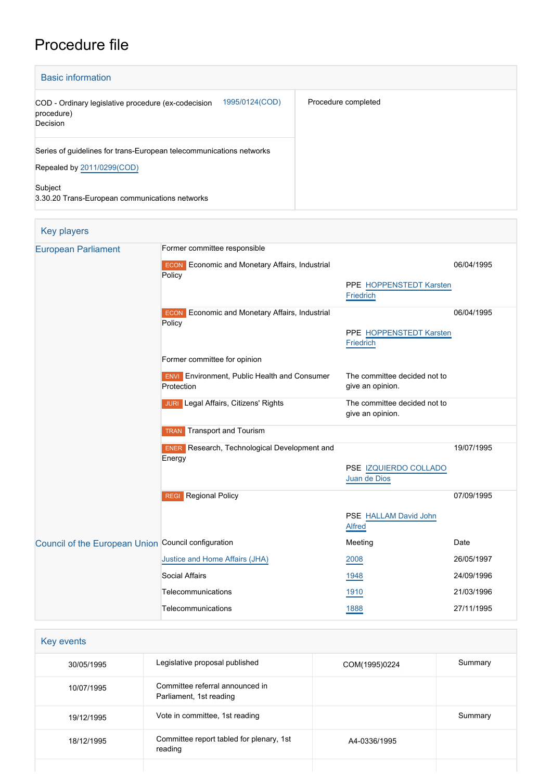# Procedure file

| <b>Basic information</b>                                                                          |                     |
|---------------------------------------------------------------------------------------------------|---------------------|
| 1995/0124(COD)<br>COD - Ordinary legislative procedure (ex-codecision<br>procedure)<br>Decision   | Procedure completed |
| Series of guidelines for trans-European telecommunications networks<br>Repealed by 2011/0299(COD) |                     |
| Subject<br>3.30.20 Trans-European communications networks                                         |                     |

| <b>Key players</b>                                  |                                                                    |                                                  |            |
|-----------------------------------------------------|--------------------------------------------------------------------|--------------------------------------------------|------------|
| <b>European Parliament</b>                          | Former committee responsible                                       |                                                  |            |
|                                                     | <b>ECON</b> Economic and Monetary Affairs, Industrial<br>Policy    |                                                  | 06/04/1995 |
|                                                     |                                                                    | PPE HOPPENSTEDT Karsten<br>Friedrich             |            |
|                                                     | Economic and Monetary Affairs, Industrial<br><b>ECON</b><br>Policy |                                                  | 06/04/1995 |
|                                                     |                                                                    | PPE HOPPENSTEDT Karsten<br>Friedrich             |            |
|                                                     | Former committee for opinion                                       |                                                  |            |
|                                                     | <b>ENVI</b> Environment, Public Health and Consumer<br>Protection  | The committee decided not to<br>give an opinion. |            |
|                                                     | JURI Legal Affairs, Citizens' Rights                               | The committee decided not to<br>give an opinion. |            |
|                                                     | <b>TRAN</b> Transport and Tourism                                  |                                                  |            |
|                                                     | <b>ENER</b> Research, Technological Development and<br>Energy      |                                                  | 19/07/1995 |
|                                                     |                                                                    | PSE IZQUIERDO COLLADO<br>Juan de Dios            |            |
|                                                     | <b>REGI</b> Regional Policy                                        |                                                  | 07/09/1995 |
|                                                     |                                                                    | PSE HALLAM David John<br>Alfred                  |            |
| Council of the European Union Council configuration |                                                                    | Meeting                                          | Date       |
|                                                     | Justice and Home Affairs (JHA)                                     | 2008                                             | 26/05/1997 |
|                                                     | Social Affairs                                                     | 1948                                             | 24/09/1996 |
|                                                     | Telecommunications                                                 | 1910                                             | 21/03/1996 |
|                                                     | Telecommunications                                                 | 1888                                             | 27/11/1995 |

| Key events |                                                            |               |         |  |  |
|------------|------------------------------------------------------------|---------------|---------|--|--|
| 30/05/1995 | Legislative proposal published                             | COM(1995)0224 | Summary |  |  |
| 10/07/1995 | Committee referral announced in<br>Parliament, 1st reading |               |         |  |  |
| 19/12/1995 | Vote in committee, 1st reading                             |               | Summary |  |  |
| 18/12/1995 | Committee report tabled for plenary, 1st<br>reading        | A4-0336/1995  |         |  |  |
|            |                                                            |               |         |  |  |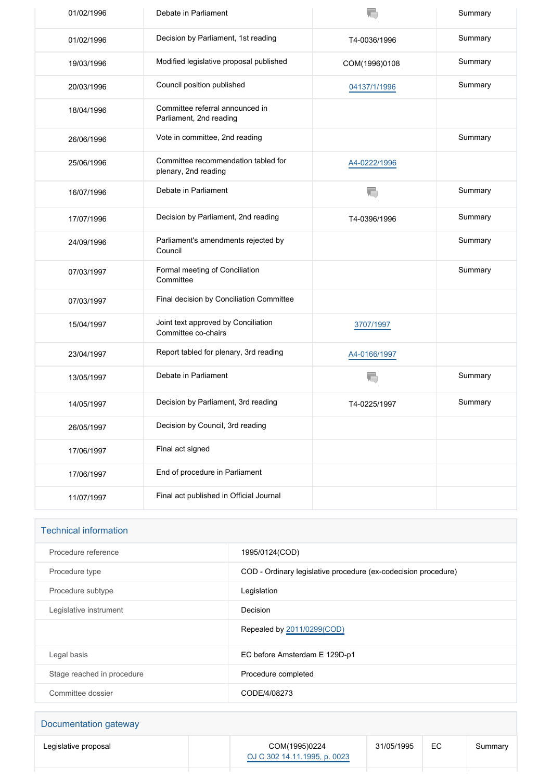| 01/02/1996 | Debate in Parliament                                        |               | Summary |
|------------|-------------------------------------------------------------|---------------|---------|
| 01/02/1996 | Decision by Parliament, 1st reading                         | T4-0036/1996  | Summary |
| 19/03/1996 | Modified legislative proposal published                     | COM(1996)0108 | Summary |
| 20/03/1996 | Council position published                                  | 04137/1/1996  | Summary |
| 18/04/1996 | Committee referral announced in<br>Parliament, 2nd reading  |               |         |
| 26/06/1996 | Vote in committee, 2nd reading                              |               | Summary |
| 25/06/1996 | Committee recommendation tabled for<br>plenary, 2nd reading | A4-0222/1996  |         |
| 16/07/1996 | Debate in Parliament                                        | T.            | Summary |
| 17/07/1996 | Decision by Parliament, 2nd reading                         | T4-0396/1996  | Summary |
| 24/09/1996 | Parliament's amendments rejected by<br>Council              |               | Summary |
| 07/03/1997 | Formal meeting of Conciliation<br>Committee                 |               | Summary |
| 07/03/1997 | Final decision by Conciliation Committee                    |               |         |
| 15/04/1997 | Joint text approved by Conciliation<br>Committee co-chairs  | 3707/1997     |         |
| 23/04/1997 | Report tabled for plenary, 3rd reading                      | A4-0166/1997  |         |
| 13/05/1997 | Debate in Parliament                                        | T.            | Summary |
| 14/05/1997 | Decision by Parliament, 3rd reading                         | T4-0225/1997  | Summary |
| 26/05/1997 | Decision by Council, 3rd reading                            |               |         |
| 17/06/1997 | Final act signed                                            |               |         |
| 17/06/1997 | End of procedure in Parliament                              |               |         |
| 11/07/1997 | Final act published in Official Journal                     |               |         |

## Technical information

| Procedure reference        | 1995/0124(COD)                                                 |
|----------------------------|----------------------------------------------------------------|
| Procedure type             | COD - Ordinary legislative procedure (ex-codecision procedure) |
| Procedure subtype          | Legislation                                                    |
| Legislative instrument     | Decision                                                       |
|                            | Repealed by 2011/0299(COD)                                     |
| Legal basis                | EC before Amsterdam E 129D-p1                                  |
| Stage reached in procedure | Procedure completed                                            |
| Committee dossier          | CODE/4/08273                                                   |

# Documentation gateway

| Legislative proposal | COM(1995)0224<br>OJ C 302 14.11.1995, p. 0023 | 31/05/1995 | EC | Summary |
|----------------------|-----------------------------------------------|------------|----|---------|
|                      |                                               |            |    |         |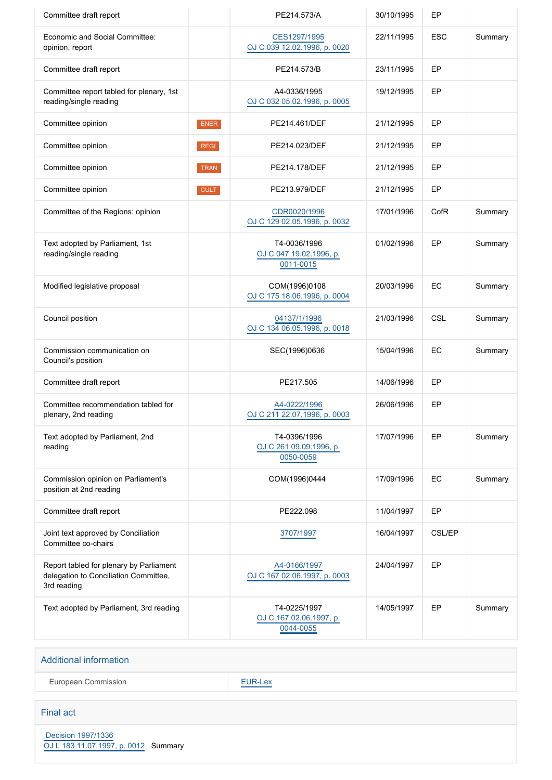| Committee draft report                                                                          |             | PE214.573/A                                          | 30/10/1995 | EP            |         |
|-------------------------------------------------------------------------------------------------|-------------|------------------------------------------------------|------------|---------------|---------|
| Economic and Social Committee:<br>opinion, report                                               |             | CES1297/1995<br>OJ C 039 12.02.1996, p. 0020         | 22/11/1995 | <b>ESC</b>    | Summary |
| Committee draft report                                                                          |             | PE214.573/B                                          | 23/11/1995 | EP            |         |
| Committee report tabled for plenary, 1st<br>reading/single reading                              |             | A4-0336/1995<br>OJ C 032 05.02.1996, p. 0005         | 19/12/1995 | EP            |         |
| Committee opinion                                                                               | <b>ENER</b> | PE214.461/DEF                                        | 21/12/1995 | EP            |         |
| Committee opinion                                                                               | <b>REGI</b> | PE214.023/DEF                                        | 21/12/1995 | EP            |         |
| Committee opinion                                                                               | <b>TRAN</b> | PE214.178/DEF                                        | 21/12/1995 | EP            |         |
| Committee opinion                                                                               | <b>CULT</b> | PE213.979/DEF                                        | 21/12/1995 | EP            |         |
| Committee of the Regions: opinion                                                               |             | CDR0020/1996<br>OJ C 129 02.05.1996, p. 0032         | 17/01/1996 | CofR          | Summary |
| Text adopted by Parliament, 1st<br>reading/single reading                                       |             | T4-0036/1996<br>OJ C 047 19.02.1996, p.<br>0011-0015 | 01/02/1996 | EP            | Summary |
| Modified legislative proposal                                                                   |             | COM(1996)0108<br>OJ C 175 18.06.1996, p. 0004        | 20/03/1996 | EC            | Summary |
| Council position                                                                                |             | 04137/1/1996<br>OJ C 134 06.05.1996, p. 0018         | 21/03/1996 | <b>CSL</b>    | Summary |
| Commission communication on<br>Council's position                                               |             | SEC(1996)0636                                        | 15/04/1996 | EC            | Summary |
| Committee draft report                                                                          |             | PE217.505                                            | 14/06/1996 | EP            |         |
| Committee recommendation tabled for<br>plenary, 2nd reading                                     |             | A4-0222/1996<br>OJ C 211 22.07.1996, p. 0003         | 26/06/1996 | EP            |         |
| Text adopted by Parliament, 2nd<br>reading                                                      |             | T4-0396/1996<br>OJ C 261 09.09.1996, p.<br>0050-0059 | 17/07/1996 | EP            | Summary |
| Commission opinion on Parliament's<br>position at 2nd reading                                   |             | COM(1996)0444                                        | 17/09/1996 | EC            | Summary |
| Committee draft report                                                                          |             | PE222.098                                            | 11/04/1997 | EP            |         |
| Joint text approved by Conciliation<br>Committee co-chairs                                      |             | 3707/1997                                            | 16/04/1997 | <b>CSL/EP</b> |         |
| Report tabled for plenary by Parliament<br>delegation to Conciliation Committee,<br>3rd reading |             | A4-0166/1997<br>OJ C 167 02.06.1997, p. 0003         | 24/04/1997 | EP            |         |
| Text adopted by Parliament, 3rd reading                                                         |             | T4-0225/1997<br>OJ C 167 02.06.1997, p.<br>0044-0055 | 14/05/1997 | EP            | Summary |

#### Additional information

European Commission **[EUR-Lex](http://ec.europa.eu/prelex/liste_resultats.cfm?CL=en&ReqId=0&DocType=COD&DocYear=1995&DocNum=0124)** 

#### Final act

 [Decision 1997/1336](https://eur-lex.europa.eu/smartapi/cgi/sga_doc?smartapi!celexplus!prod!CELEXnumdoc&lg=EN&numdoc=31997D1336) [OJ L 183 11.07.1997, p. 0012](https://eur-lex.europa.eu/JOHtml.do?uri=OJ:L:1997:183:SOM:EN:HTML) Summary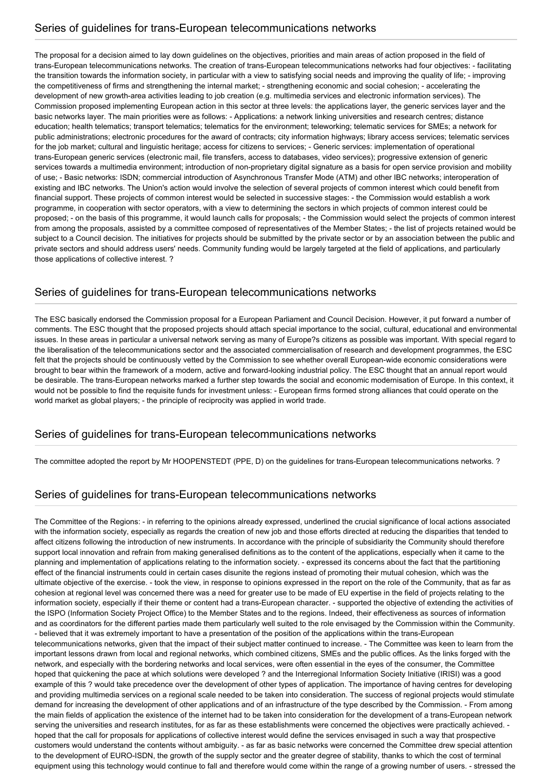The proposal for a decision aimed to lay down guidelines on the objectives, priorities and main areas of action proposed in the field of trans-European telecommunications networks. The creation of trans-European telecommunications networks had four objectives: - facilitating the transition towards the information society, in particular with a view to satisfying social needs and improving the quality of life; - improving the competitiveness of firms and strengthening the internal market; - strengthening economic and social cohesion; - accelerating the development of new growth-area activities leading to job creation (e.g. multimedia services and electronic information services). The Commission proposed implementing European action in this sector at three levels: the applications layer, the generic services layer and the basic networks layer. The main priorities were as follows: - Applications: a network linking universities and research centres; distance education; health telematics; transport telematics; telematics for the environment; teleworking; telematic services for SMEs; a network for public administrations; electronic procedures for the award of contracts; city information highways; library access services; telematic services for the job market; cultural and linguistic heritage; access for citizens to services; - Generic services: implementation of operational trans-European generic services (electronic mail, file transfers, access to databases, video services); progressive extension of generic services towards a multimedia environment; introduction of non-proprietary digital signature as a basis for open service provision and mobility of use; - Basic networks: ISDN; commercial introduction of Asynchronous Transfer Mode (ATM) and other IBC networks; interoperation of existing and IBC networks. The Union's action would involve the selection of several projects of common interest which could benefit from financial support. These projects of common interest would be selected in successive stages: - the Commission would establish a work programme, in cooperation with sector operators, with a view to determining the sectors in which projects of common interest could be proposed; - on the basis of this programme, it would launch calls for proposals; - the Commission would select the projects of common interest from among the proposals, assisted by a committee composed of representatives of the Member States; - the list of projects retained would be subject to a Council decision. The initiatives for projects should be submitted by the private sector or by an association between the public and private sectors and should address users' needs. Community funding would be largely targeted at the field of applications, and particularly those applications of collective interest. ?

#### Series of guidelines for trans-European telecommunications networks

The ESC basically endorsed the Commission proposal for a European Parliament and Council Decision. However, it put forward a number of comments. The ESC thought that the proposed projects should attach special importance to the social, cultural, educational and environmental issues. In these areas in particular a universal network serving as many of Europe?s citizens as possible was important. With special regard to the liberalisation of the telecommunications sector and the associated commercialisation of research and development programmes, the ESC felt that the projects should be continuously vetted by the Commission to see whether overall European-wide economic considerations were brought to bear within the framework of a modern, active and forward-looking industrial policy. The ESC thought that an annual report would be desirable. The trans-European networks marked a further step towards the social and economic modernisation of Europe. In this context, it would not be possible to find the requisite funds for investment unless: - European firms formed strong alliances that could operate on the world market as global players; - the principle of reciprocity was applied in world trade.

#### Series of guidelines for trans-European telecommunications networks

The committee adopted the report by Mr HOOPENSTEDT (PPE, D) on the guidelines for trans-European telecommunications networks. ?

### Series of guidelines for trans-European telecommunications networks

The Committee of the Regions: - in referring to the opinions already expressed, underlined the crucial significance of local actions associated with the information society, especially as regards the creation of new job and those efforts directed at reducing the disparities that tended to affect citizens following the introduction of new instruments. In accordance with the principle of subsidiarity the Community should therefore support local innovation and refrain from making generalised definitions as to the content of the applications, especially when it came to the planning and implementation of applications relating to the information society. - expressed its concerns about the fact that the partitioning effect of the financial instruments could in certain cases disunite the regions instead of promoting their mutual cohesion, which was the ultimate objective of the exercise. - took the view, in response to opinions expressed in the report on the role of the Community, that as far as cohesion at regional level was concerned there was a need for greater use to be made of EU expertise in the field of projects relating to the information society, especially if their theme or content had a trans-European character. - supported the objective of extending the activities of the ISPO (Information Society Project Office) to the Member States and to the regions. Indeed, their effectiveness as sources of information and as coordinators for the different parties made them particularly well suited to the role envisaged by the Commission within the Community. - believed that it was extremely important to have a presentation of the position of the applications within the trans-European telecommunications networks, given that the impact of their subject matter continued to increase. - The Committee was keen to learn from the important lessons drawn from local and regional networks, which combined citizens, SMEs and the public offices. As the links forged with the network, and especially with the bordering networks and local services, were often essential in the eyes of the consumer, the Committee hoped that quickening the pace at which solutions were developed ? and the Interregional Information Society Initiative (IRISI) was a good example of this ? would take precedence over the development of other types of application. The importance of having centres for developing and providing multimedia services on a regional scale needed to be taken into consideration. The success of regional projects would stimulate demand for increasing the development of other applications and of an infrastructure of the type described by the Commission. - From among the main fields of application the existence of the internet had to be taken into consideration for the development of a trans-European network serving the universities and research institutes, for as far as these establishments were concerned the objectives were practically achieved. hoped that the call for proposals for applications of collective interest would define the services envisaged in such a way that prospective customers would understand the contents without ambiguity. - as far as basic networks were concerned the Committee drew special attention to the development of EURO-ISDN, the growth of the supply sector and the greater degree of stability, thanks to which the cost of terminal equipment using this technology would continue to fall and therefore would come within the range of a growing number of users. - stressed the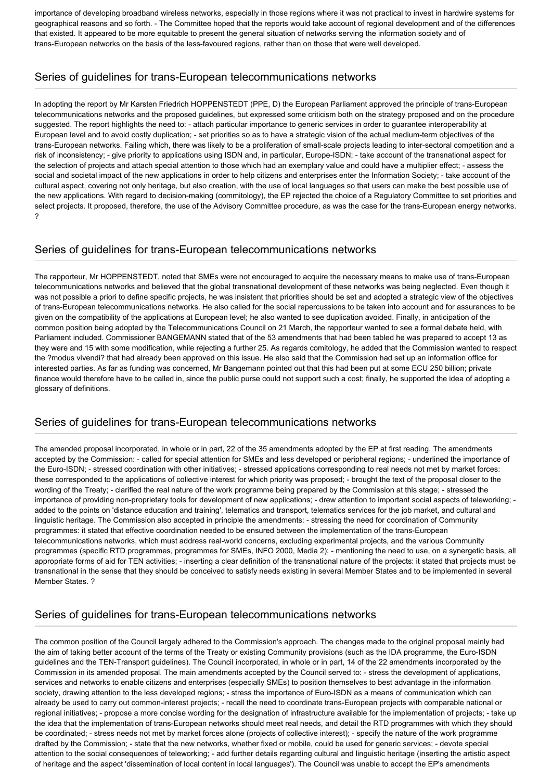importance of developing broadband wireless networks, especially in those regions where it was not practical to invest in hardwire systems for geographical reasons and so forth. - The Committee hoped that the reports would take account of regional development and of the differences that existed. It appeared to be more equitable to present the general situation of networks serving the information society and of trans-European networks on the basis of the less-favoured regions, rather than on those that were well developed.

#### Series of guidelines for trans-European telecommunications networks

In adopting the report by Mr Karsten Friedrich HOPPENSTEDT (PPE, D) the European Parliament approved the principle of trans-European telecommunications networks and the proposed guidelines, but expressed some criticism both on the strategy proposed and on the procedure suggested. The report highlights the need to: - attach particular importance to generic services in order to guarantee interoperability at European level and to avoid costly duplication; - set priorities so as to have a strategic vision of the actual medium-term objectives of the trans-European networks. Failing which, there was likely to be a proliferation of small-scale projects leading to inter-sectoral competition and a risk of inconsistency; - give priority to applications using ISDN and, in particular, Europe-ISDN; - take account of the transnational aspect for the selection of projects and attach special attention to those which had an exemplary value and could have a multiplier effect; - assess the social and societal impact of the new applications in order to help citizens and enterprises enter the Information Society; - take account of the cultural aspect, covering not only heritage, but also creation, with the use of local languages so that users can make the best possible use of the new applications. With regard to decision-making (commitology), the EP rejected the choice of a Regulatory Committee to set priorities and select projects. It proposed, therefore, the use of the Advisory Committee procedure, as was the case for the trans-European energy networks. ?

#### Series of guidelines for trans-European telecommunications networks

The rapporteur, Mr HOPPENSTEDT, noted that SMEs were not encouraged to acquire the necessary means to make use of trans-European telecommunications networks and believed that the global transnational development of these networks was being neglected. Even though it was not possible a priori to define specific projects, he was insistent that priorities should be set and adopted a strategic view of the objectives of trans-European telecommunications networks. He also called for the social repercussions to be taken into account and for assurances to be given on the compatibility of the applications at European level; he also wanted to see duplication avoided. Finally, in anticipation of the common position being adopted by the Telecommunications Council on 21 March, the rapporteur wanted to see a formal debate held, with Parliament included. Commissioner BANGEMANN stated that of the 53 amendments that had been tabled he was prepared to accept 13 as they were and 15 with some modification, while rejecting a further 25. As regards comitology, he added that the Commission wanted to respect the ?modus vivendi? that had already been approved on this issue. He also said that the Commission had set up an information office for interested parties. As far as funding was concerned, Mr Bangemann pointed out that this had been put at some ECU 250 billion; private finance would therefore have to be called in, since the public purse could not support such a cost; finally, he supported the idea of adopting a glossary of definitions.

#### Series of guidelines for trans-European telecommunications networks

The amended proposal incorporated, in whole or in part, 22 of the 35 amendments adopted by the EP at first reading. The amendments accepted by the Commission: - called for special attention for SMEs and less developed or peripheral regions; - underlined the importance of the Euro-ISDN; - stressed coordination with other initiatives; - stressed applications corresponding to real needs not met by market forces: these corresponded to the applications of collective interest for which priority was proposed; - brought the text of the proposal closer to the wording of the Treaty; - clarified the real nature of the work programme being prepared by the Commission at this stage; - stressed the importance of providing non-proprietary tools for development of new applications; - drew attention to important social aspects of teleworking; added to the points on 'distance education and training', telematics and transport, telematics services for the job market, and cultural and linguistic heritage. The Commission also accepted in principle the amendments: - stressing the need for coordination of Community programmes: it stated that effective coordination needed to be ensured between the implementation of the trans-European telecommunications networks, which must address real-world concerns, excluding experimental projects, and the various Community programmes (specific RTD programmes, programmes for SMEs, INFO 2000, Media 2); - mentioning the need to use, on a synergetic basis, all appropriate forms of aid for TEN activities; - inserting a clear definition of the transnational nature of the projects: it stated that projects must be transnational in the sense that they should be conceived to satisfy needs existing in several Member States and to be implemented in several Member States. ?

#### Series of guidelines for trans-European telecommunications networks

The common position of the Council largely adhered to the Commission's approach. The changes made to the original proposal mainly had the aim of taking better account of the terms of the Treaty or existing Community provisions (such as the IDA programme, the Euro-ISDN guidelines and the TEN-Transport guidelines). The Council incorporated, in whole or in part, 14 of the 22 amendments incorporated by the Commission in its amended proposal. The main amendments accepted by the Council served to: - stress the development of applications, services and networks to enable citizens and enterprises (especially SMEs) to position themselves to best advantage in the information society, drawing attention to the less developed regions; - stress the importance of Euro-ISDN as a means of communication which can already be used to carry out common-interest projects; - recall the need to coordinate trans-European projects with comparable national or regional initiatives; - propose a more concise wording for the designation of infrastructure available for the implementation of projects; - take up the idea that the implementation of trans-European networks should meet real needs, and detail the RTD programmes with which they should be coordinated; - stress needs not met by market forces alone (projects of collective interest); - specify the nature of the work programme drafted by the Commission; - state that the new networks, whether fixed or mobile, could be used for generic services; - devote special attention to the social consequences of teleworking; - add further details regarding cultural and linguistic heritage (inserting the artistic aspect of heritage and the aspect 'dissemination of local content in local languages'). The Council was unable to accept the EP's amendments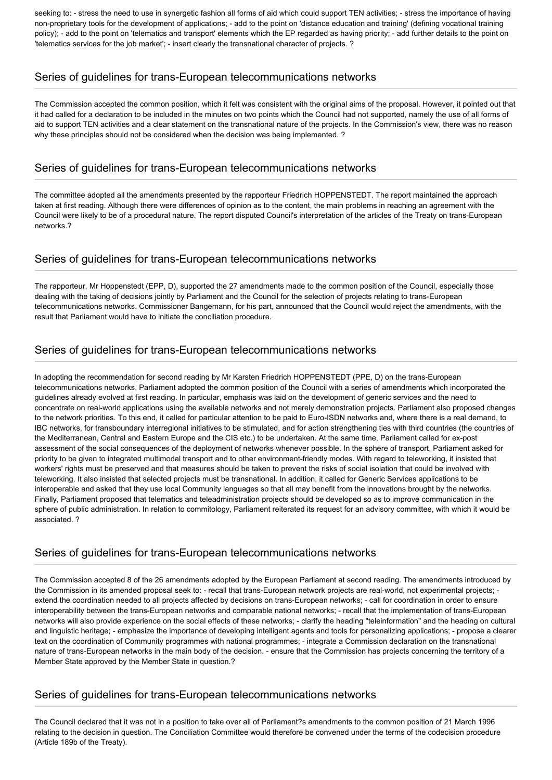seeking to: - stress the need to use in synergetic fashion all forms of aid which could support TEN activities; - stress the importance of having non-proprietary tools for the development of applications; - add to the point on 'distance education and training' (defining vocational training policy); - add to the point on 'telematics and transport' elements which the EP regarded as having priority; - add further details to the point on 'telematics services for the job market'; - insert clearly the transnational character of projects. ?

#### Series of guidelines for trans-European telecommunications networks

The Commission accepted the common position, which it felt was consistent with the original aims of the proposal. However, it pointed out that it had called for a declaration to be included in the minutes on two points which the Council had not supported, namely the use of all forms of aid to support TEN activities and a clear statement on the transnational nature of the projects. In the Commission's view, there was no reason why these principles should not be considered when the decision was being implemented. ?

#### Series of guidelines for trans-European telecommunications networks

The committee adopted all the amendments presented by the rapporteur Friedrich HOPPENSTEDT. The report maintained the approach taken at first reading. Although there were differences of opinion as to the content, the main problems in reaching an agreement with the Council were likely to be of a procedural nature. The report disputed Council's interpretation of the articles of the Treaty on trans-European networks.?

#### Series of guidelines for trans-European telecommunications networks

The rapporteur, Mr Hoppenstedt (EPP, D), supported the 27 amendments made to the common position of the Council, especially those dealing with the taking of decisions jointly by Parliament and the Council for the selection of projects relating to trans-European telecommunications networks. Commissioner Bangemann, for his part, announced that the Council would reject the amendments, with the result that Parliament would have to initiate the conciliation procedure.

#### Series of guidelines for trans-European telecommunications networks

In adopting the recommendation for second reading by Mr Karsten Friedrich HOPPENSTEDT (PPE, D) on the trans-European telecommunications networks, Parliament adopted the common position of the Council with a series of amendments which incorporated the guidelines already evolved at first reading. In particular, emphasis was laid on the development of generic services and the need to concentrate on real-world applications using the available networks and not merely demonstration projects. Parliament also proposed changes to the network priorities. To this end, it called for particular attention to be paid to Euro-ISDN networks and, where there is a real demand, to IBC networks, for transboundary interregional initiatives to be stimulated, and for action strengthening ties with third countries (the countries of the Mediterranean, Central and Eastern Europe and the CIS etc.) to be undertaken. At the same time, Parliament called for ex-post assessment of the social consequences of the deployment of networks whenever possible. In the sphere of transport, Parliament asked for priority to be given to integrated multimodal transport and to other environment-friendly modes. With regard to teleworking, it insisted that workers' rights must be preserved and that measures should be taken to prevent the risks of social isolation that could be involved with teleworking. It also insisted that selected projects must be transnational. In addition, it called for Generic Services applications to be interoperable and asked that they use local Community languages so that all may benefit from the innovations brought by the networks. Finally, Parliament proposed that telematics and teleadministration projects should be developed so as to improve communication in the sphere of public administration. In relation to commitology, Parliament reiterated its request for an advisory committee, with which it would be associated. ?

#### Series of guidelines for trans-European telecommunications networks

The Commission accepted 8 of the 26 amendments adopted by the European Parliament at second reading. The amendments introduced by the Commission in its amended proposal seek to: - recall that trans-European network projects are real-world, not experimental projects; extend the coordination needed to all projects affected by decisions on trans-European networks; - call for coordination in order to ensure interoperability between the trans-European networks and comparable national networks; - recall that the implementation of trans-European networks will also provide experience on the social effects of these networks; - clarify the heading "teleinformation" and the heading on cultural and linguistic heritage; - emphasize the importance of developing intelligent agents and tools for personalizing applications; - propose a clearer text on the coordination of Community programmes with national programmes; - integrate a Commission declaration on the transnational nature of trans-European networks in the main body of the decision. - ensure that the Commission has projects concerning the territory of a Member State approved by the Member State in question.?

#### Series of guidelines for trans-European telecommunications networks

The Council declared that it was not in a position to take over all of Parliament?s amendments to the common position of 21 March 1996 relating to the decision in question. The Conciliation Committee would therefore be convened under the terms of the codecision procedure (Article 189b of the Treaty).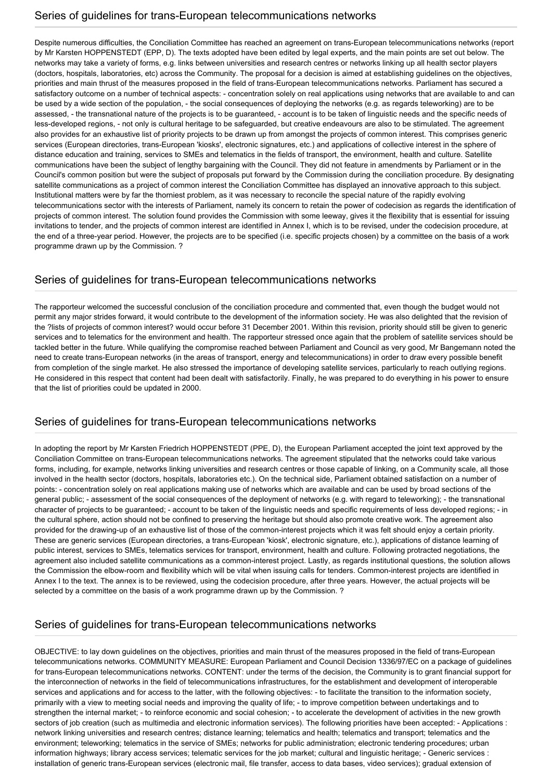Despite numerous difficulties, the Conciliation Committee has reached an agreement on trans-European telecommunications networks (report by Mr Karsten HOPPENSTEDT (EPP, D). The texts adopted have been edited by legal experts, and the main points are set out below. The networks may take a variety of forms, e.g. links between universities and research centres or networks linking up all health sector players (doctors, hospitals, laboratories, etc) across the Community. The proposal for a decision is aimed at establishing guidelines on the objectives, priorities and main thrust of the measures proposed in the field of trans-European telecommunications networks. Parliament has secured a satisfactory outcome on a number of technical aspects: - concentration solely on real applications using networks that are available to and can be used by a wide section of the population, - the social consequences of deploying the networks (e.g. as regards teleworking) are to be assessed, - the transnational nature of the projects is to be guaranteed, - account is to be taken of linguistic needs and the specific needs of less-developed regions, - not only is cultural heritage to be safeguarded, but creative endeavours are also to be stimulated. The agreement also provides for an exhaustive list of priority projects to be drawn up from amongst the projects of common interest. This comprises generic services (European directories, trans-European 'kiosks', electronic signatures, etc.) and applications of collective interest in the sphere of distance education and training, services to SMEs and telematics in the fields of transport, the environment, health and culture. Satellite communications have been the subject of lengthy bargaining with the Council. They did not feature in amendments by Parliament or in the Council's common position but were the subject of proposals put forward by the Commission during the conciliation procedure. By designating satellite communications as a project of common interest the Conciliation Committee has displayed an innovative approach to this subject. Institutional matters were by far the thorniest problem, as it was necessary to reconcile the special nature of the rapidly evolving telecommunications sector with the interests of Parliament, namely its concern to retain the power of codecision as regards the identification of projects of common interest. The solution found provides the Commission with some leeway, gives it the flexibility that is essential for issuing invitations to tender, and the projects of common interest are identified in Annex I, which is to be revised, under the codecision procedure, at the end of a three-year period. However, the projects are to be specified (i.e. specific projects chosen) by a committee on the basis of a work programme drawn up by the Commission. ?

#### Series of guidelines for trans-European telecommunications networks

The rapporteur welcomed the successful conclusion of the conciliation procedure and commented that, even though the budget would not permit any major strides forward, it would contribute to the development of the information society. He was also delighted that the revision of the ?lists of projects of common interest? would occur before 31 December 2001. Within this revision, priority should still be given to generic services and to telematics for the environment and health. The rapporteur stressed once again that the problem of satellite services should be tackled better in the future. While qualifying the compromise reached between Parliament and Council as very good, Mr Bangemann noted the need to create trans-European networks (in the areas of transport, energy and telecommunications) in order to draw every possible benefit from completion of the single market. He also stressed the importance of developing satellite services, particularly to reach outlying regions. He considered in this respect that content had been dealt with satisfactorily. Finally, he was prepared to do everything in his power to ensure that the list of priorities could be updated in 2000.

#### Series of guidelines for trans-European telecommunications networks

In adopting the report by Mr Karsten Friedrich HOPPENSTEDT (PPE, D), the European Parliament accepted the joint text approved by the Conciliation Committee on trans-European telecommunications networks. The agreement stipulated that the networks could take various forms, including, for example, networks linking universities and research centres or those capable of linking, on a Community scale, all those involved in the health sector (doctors, hospitals, laboratories etc.). On the technical side, Parliament obtained satisfaction on a number of points: - concentration solely on real applications making use of networks which are available and can be used by broad sections of the general public; - assessment of the social consequences of the deployment of networks (e.g. with regard to teleworking); - the transnational character of projects to be guaranteed; - account to be taken of the linguistic needs and specific requirements of less developed regions; - in the cultural sphere, action should not be confined to preserving the heritage but should also promote creative work. The agreement also provided for the drawing-up of an exhaustive list of those of the common-interest projects which it was felt should enjoy a certain priority. These are generic services (European directories, a trans-European 'kiosk', electronic signature, etc.), applications of distance learning of public interest, services to SMEs, telematics services for transport, environment, health and culture. Following protracted negotiations, the agreement also included satellite communications as a common-interest project. Lastly, as regards institutional questions, the solution allows the Commission the elbow-room and flexibility which will be vital when issuing calls for tenders. Common-interest projects are identified in Annex I to the text. The annex is to be reviewed, using the codecision procedure, after three years. However, the actual projects will be selected by a committee on the basis of a work programme drawn up by the Commission. ?

#### Series of guidelines for trans-European telecommunications networks

OBJECTIVE: to lay down guidelines on the objectives, priorities and main thrust of the measures proposed in the field of trans-European telecommunications networks. COMMUNITY MEASURE: European Parliament and Council Decision 1336/97/EC on a package of guidelines for trans-European telecommunications networks. CONTENT: under the terms of the decision, the Community is to grant financial support for the interconnection of networks in the field of telecommunications infrastructures, for the establishment and development of interoperable services and applications and for access to the latter, with the following objectives: - to facilitate the transition to the information society, primarily with a view to meeting social needs and improving the quality of life; - to improve competition between undertakings and to strengthen the internal market; - to reinforce economic and social cohesion; - to accelerate the development of activities in the new growth sectors of job creation (such as multimedia and electronic information services). The following priorities have been accepted: - Applications : network linking universities and research centres; distance learning; telematics and health; telematics and transport; telematics and the environment; teleworking; telematics in the service of SMEs; networks for public administration; electronic tendering procedures; urban information highways; library access services; telematic services for the job market; cultural and linguistic heritage; - Generic services : installation of generic trans-European services (electronic mail, file transfer, access to data bases, video services); gradual extension of